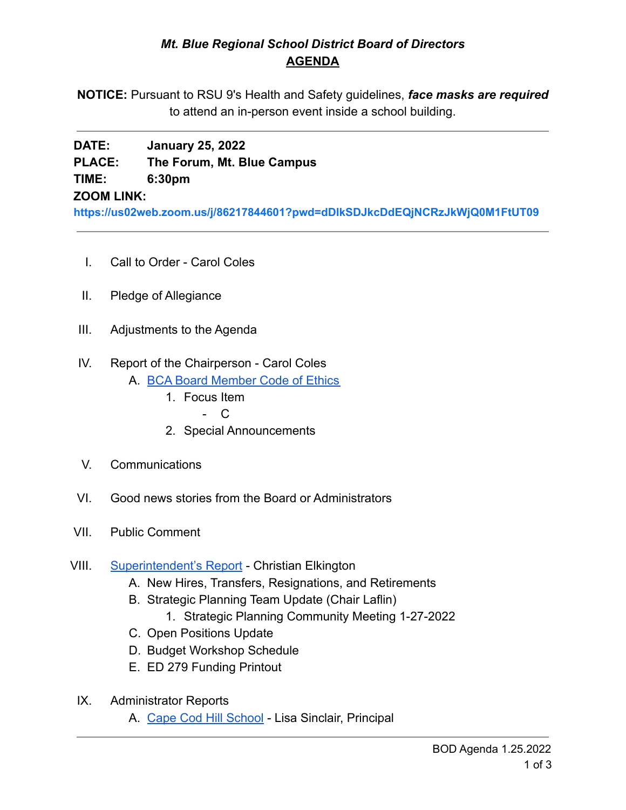# *Mt. Blue Regional School District Board of Directors* **AGENDA**

**NOTICE:** Pursuant to RSU 9's Health and Safety guidelines, *face masks are required* to attend an in-person event inside a school building.

# **DATE: January 25, 2022 PLACE: The Forum, Mt. Blue Campus TIME: 6:30pm**

### **ZOOM LINK:**

**<https://us02web.zoom.us/j/86217844601?pwd=dDlkSDJkcDdEQjNCRzJkWjQ0M1FtUT09>**

- I. Call to Order Carol Coles
- II. Pledge of Allegiance
- III. Adjustments to the Agenda
- IV. Report of the Chairperson Carol Coles
	- A. [BCA Board Member Code of Ethics](https://cdn.branchcms.com/yeQ4XpK43n-1155/docs/district/board-of-directors/policy-manual/section-b/BCA-Board-Member-Code-of-Ethics.pdf)
		- 1. Focus Item
			- C
		- 2. Special Announcements
- V. Communications
- VI. Good news stories from the Board or Administrators
- VII. Public Comment
- VIII. [Superintendent's Report](https://drive.google.com/file/d/11j4C6G24EZaJwZpKbvFHfXGORMCavtCN/view?usp=sharing) Christian Elkington
	- A. New Hires, Transfers, Resignations, and Retirements
	- B. Strategic Planning Team Update (Chair Laflin)
		- 1. Strategic Planning Community Meeting 1-27-2022
	- C. Open Positions Update
	- D. Budget Workshop Schedule
	- E. ED 279 Funding Printout
	- IX. Administrator Reports
		- A. [Cape Cod Hill School](https://drive.google.com/file/d/1diIgIPZmj1mAFNCEPanGq1TOuZGSuDh-/view?usp=sharing) Lisa Sinclair, Principal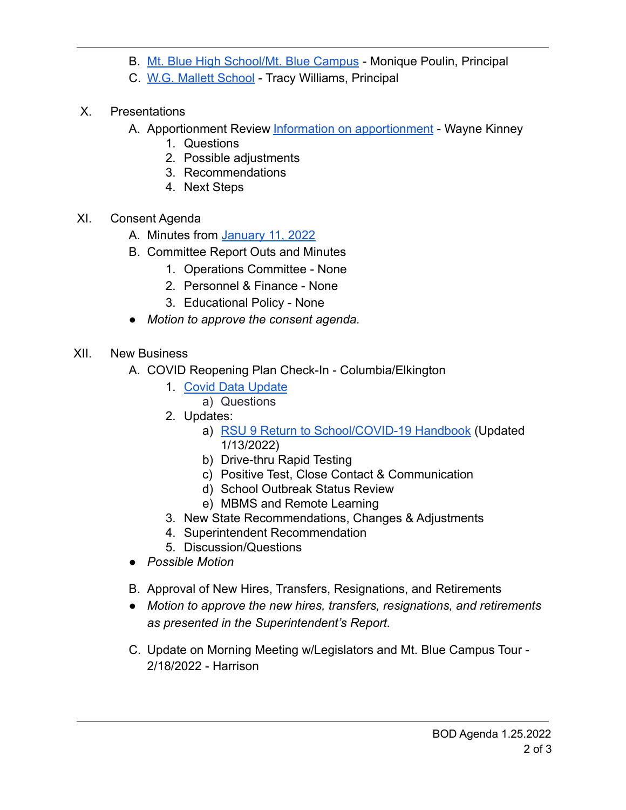- B. [Mt. Blue High School/Mt. Blue Campus](https://drive.google.com/file/d/10yTiThMTaT7eaBuBMtEVmnPNjLfVfJxZ/view?usp=sharing) Monique Poulin, Principal
- C. [W.G. Mallett School](https://drive.google.com/file/d/1ssW3UTLl8lSci5-FJJM6y3MKfaTaYY14/view?usp=sharing) Tracy Williams, Principal
- X. Presentations
	- A. Apportionment Review [Information on apportionment](https://drive.google.com/file/d/1JCvPqYV0n4BsGuIEdvDvnZn2cAV20mET/view?usp=sharing) Wayne Kinney
		- 1. Questions
		- 2. Possible adjustments
		- 3. Recommendations
		- 4. Next Steps
- XI. Consent Agenda
	- A. Minutes from [January 11, 2022](https://drive.google.com/file/d/1XwFo5N7IhyUad9CMDU6QHr0Zf9qvDklF/view?usp=sharing)
	- B. Committee Report Outs and Minutes
		- 1. Operations Committee None
		- 2. Personnel & Finance None
		- 3. Educational Policy None
	- *Motion to approve the consent agenda.*
- XII. New Business
	- A. COVID Reopening Plan Check-In Columbia/Elkington
		- 1. [Covid Data Update](https://drive.google.com/file/d/1Ifw9knhnNkbHCI6E4DE9OFSmNH9XEyx4/view?usp=sharing)
			- a) Questions
		- 2. Updates:
			- a) [RSU 9 Return to School/COVID-19 Handbook](https://drive.google.com/file/d/1AII6--ramOeH2vQX4scuoJA4ZRvb3BXy/view?usp=sharing) (Updated 1/13/2022)
			- b) Drive-thru Rapid Testing
			- c) Positive Test, Close Contact & Communication
			- d) School Outbreak Status Review
			- e) MBMS and Remote Learning
		- 3. New State Recommendations, Changes & Adjustments
		- 4. Superintendent Recommendation
		- 5. Discussion/Questions
		- *● Possible Motion*
	- B. Approval of New Hires, Transfers, Resignations, and Retirements
	- *● Motion to approve the new hires, transfers, resignations, and retirements as presented in the Superintendent's Report.*
	- C. Update on Morning Meeting w/Legislators and Mt. Blue Campus Tour 2/18/2022 - Harrison